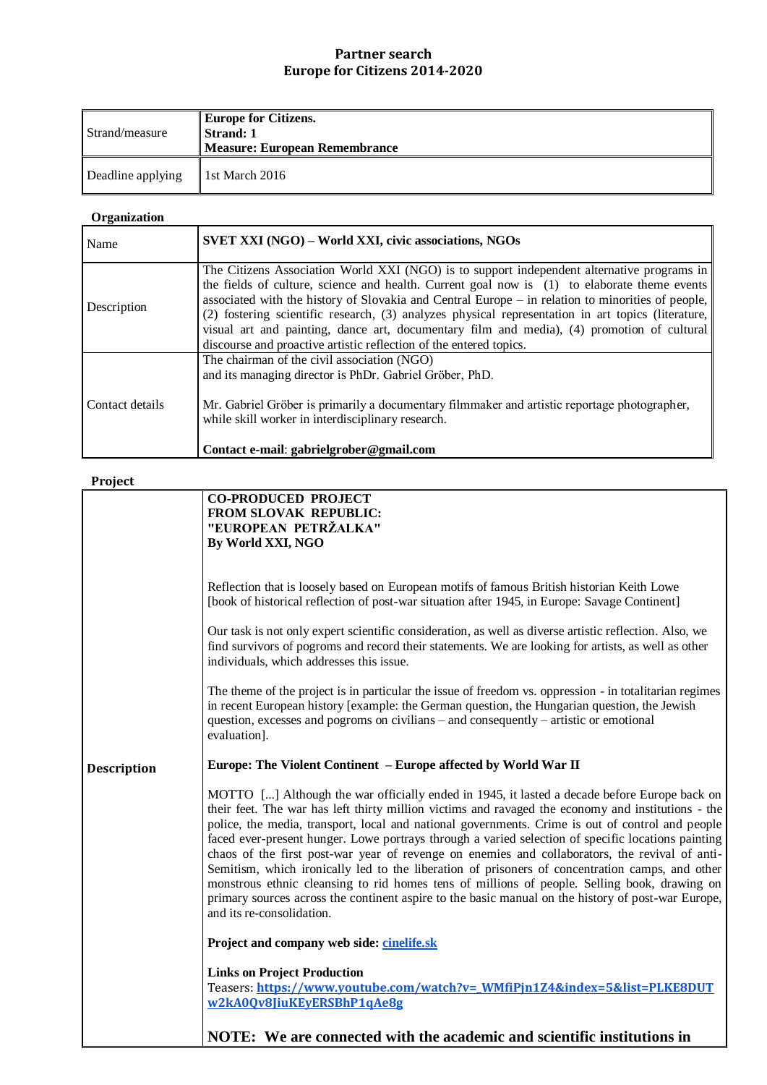## **Partner search Europe for Citizens 2014-2020**

| Strand/measure    | <b>Europe for Citizens.</b><br>Strand: 1<br>Measure: European Remembrance |
|-------------------|---------------------------------------------------------------------------|
| Deadline applying | 1st March $2016$                                                          |

## **Organization**

| Name            | SVET XXI (NGO) – World XXI, civic associations, NGOs                                                                                                                                                                                                                                                                                                                                                                                                                                                                                                                      |
|-----------------|---------------------------------------------------------------------------------------------------------------------------------------------------------------------------------------------------------------------------------------------------------------------------------------------------------------------------------------------------------------------------------------------------------------------------------------------------------------------------------------------------------------------------------------------------------------------------|
| Description     | The Citizens Association World XXI (NGO) is to support independent alternative programs in<br>the fields of culture, science and health. Current goal now is (1) to elaborate theme events<br>associated with the history of Slovakia and Central Europe – in relation to minorities of people,<br>(2) fostering scientific research, (3) analyzes physical representation in art topics (literature,<br>visual art and painting, dance art, documentary film and media), (4) promotion of cultural<br>discourse and proactive artistic reflection of the entered topics. |
| Contact details | The chairman of the civil association (NGO)<br>and its managing director is PhDr. Gabriel Gröber, PhD.<br>Mr. Gabriel Gröber is primarily a documentary filmmaker and artistic reportage photographer,<br>while skill worker in interdisciplinary research.<br>Contact e-mail: gabrielgrober@gmail.com                                                                                                                                                                                                                                                                    |

## **Project**

| .                  |                                                                                                                                                                                                                                                                                                                                                                                                                                                                                                                                                                                                                                                                                                                                                                                                                                                      |
|--------------------|------------------------------------------------------------------------------------------------------------------------------------------------------------------------------------------------------------------------------------------------------------------------------------------------------------------------------------------------------------------------------------------------------------------------------------------------------------------------------------------------------------------------------------------------------------------------------------------------------------------------------------------------------------------------------------------------------------------------------------------------------------------------------------------------------------------------------------------------------|
|                    | <b>CO-PRODUCED PROJECT</b><br>FROM SLOVAK REPUBLIC:<br>"EUROPEAN PETRŽALKA"<br>By World XXI, NGO                                                                                                                                                                                                                                                                                                                                                                                                                                                                                                                                                                                                                                                                                                                                                     |
|                    |                                                                                                                                                                                                                                                                                                                                                                                                                                                                                                                                                                                                                                                                                                                                                                                                                                                      |
|                    | Reflection that is loosely based on European motifs of famous British historian Keith Lowe<br>[book of historical reflection of post-war situation after 1945, in Europe: Savage Continent]                                                                                                                                                                                                                                                                                                                                                                                                                                                                                                                                                                                                                                                          |
|                    | Our task is not only expert scientific consideration, as well as diverse artistic reflection. Also, we<br>find survivors of pogroms and record their statements. We are looking for artists, as well as other<br>individuals, which addresses this issue.                                                                                                                                                                                                                                                                                                                                                                                                                                                                                                                                                                                            |
|                    | The theme of the project is in particular the issue of freedom vs. oppression - in totalitarian regimes<br>in recent European history [example: the German question, the Hungarian question, the Jewish<br>question, excesses and pogroms on civilians – and consequently – artistic or emotional<br>evaluation].                                                                                                                                                                                                                                                                                                                                                                                                                                                                                                                                    |
| <b>Description</b> | Europe: The Violent Continent - Europe affected by World War II                                                                                                                                                                                                                                                                                                                                                                                                                                                                                                                                                                                                                                                                                                                                                                                      |
|                    | MOTTO [] Although the war officially ended in 1945, it lasted a decade before Europe back on<br>their feet. The war has left thirty million victims and ravaged the economy and institutions - the<br>police, the media, transport, local and national governments. Crime is out of control and people<br>faced ever-present hunger. Lowe portrays through a varied selection of specific locations painting<br>chaos of the first post-war year of revenge on enemies and collaborators, the revival of anti-<br>Semitism, which ironically led to the liberation of prisoners of concentration camps, and other<br>monstrous ethnic cleansing to rid homes tens of millions of people. Selling book, drawing on<br>primary sources across the continent aspire to the basic manual on the history of post-war Europe,<br>and its re-consolidation. |
|                    | Project and company web side: cinelife.sk                                                                                                                                                                                                                                                                                                                                                                                                                                                                                                                                                                                                                                                                                                                                                                                                            |
|                    | <b>Links on Project Production</b><br>Teasers: https://www.youtube.com/watch?v= WMfiPjn1Z4&index=5&list=PLKE8DUT<br>w2kA0Qv8JiuKEyERSBhP1qAe8g                                                                                                                                                                                                                                                                                                                                                                                                                                                                                                                                                                                                                                                                                                       |
|                    | NOTE: We are connected with the academic and scientific institutions in                                                                                                                                                                                                                                                                                                                                                                                                                                                                                                                                                                                                                                                                                                                                                                              |